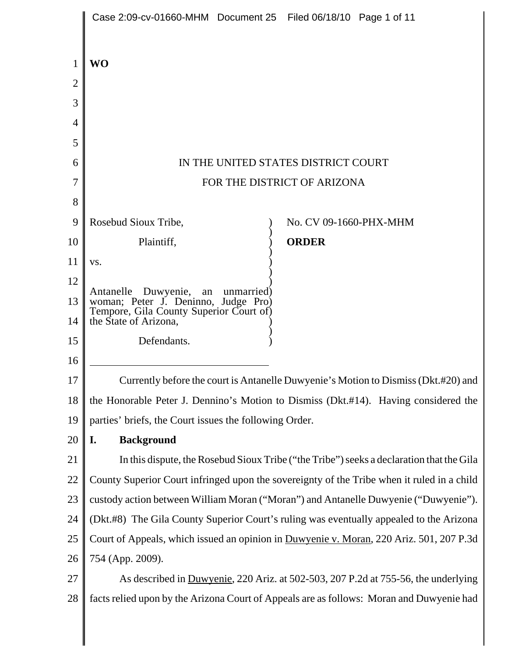|                | Case 2:09-cv-01660-MHM  Document 25  Filed 06/18/10  Page 1 of 11                                                   |                        |  |  |
|----------------|---------------------------------------------------------------------------------------------------------------------|------------------------|--|--|
|                |                                                                                                                     |                        |  |  |
| 1              | <b>WO</b>                                                                                                           |                        |  |  |
| $\overline{2}$ |                                                                                                                     |                        |  |  |
| 3              |                                                                                                                     |                        |  |  |
| 4              |                                                                                                                     |                        |  |  |
| 5              |                                                                                                                     |                        |  |  |
| 6              | IN THE UNITED STATES DISTRICT COURT                                                                                 |                        |  |  |
| 7              | FOR THE DISTRICT OF ARIZONA                                                                                         |                        |  |  |
| 8              |                                                                                                                     |                        |  |  |
| 9              | Rosebud Sioux Tribe,                                                                                                | No. CV 09-1660-PHX-MHM |  |  |
| 10             | Plaintiff,                                                                                                          | <b>ORDER</b>           |  |  |
| 11             | VS.                                                                                                                 |                        |  |  |
| 12             |                                                                                                                     |                        |  |  |
| 13             | Antanelle Duwyenie, an unmarried)<br>woman; Peter J. Deninno, Judge Pro)<br>Tempore, Gila County Superior Court of) |                        |  |  |
| 14             | the State of Arizona,                                                                                               |                        |  |  |
| 15             | Defendants.                                                                                                         |                        |  |  |
| 16             |                                                                                                                     |                        |  |  |
| 17             | Currently before the court is Antanelle Duwyenie's Motion to Dismiss (Dkt.#20) and                                  |                        |  |  |
| 18             | the Honorable Peter J. Dennino's Motion to Dismiss (Dkt.#14). Having considered the                                 |                        |  |  |
| 19             | parties' briefs, the Court issues the following Order.                                                              |                        |  |  |
| 20             | <b>Background</b><br>I.                                                                                             |                        |  |  |
| 21             | In this dispute, the Rosebud Sioux Tribe ("the Tribe") seeks a declaration that the Gila                            |                        |  |  |
| 22             | County Superior Court infringed upon the sovereignty of the Tribe when it ruled in a child                          |                        |  |  |
| 23             | custody action between William Moran ("Moran") and Antanelle Duwyenie ("Duwyenie").                                 |                        |  |  |
| 24             | (Dkt.#8) The Gila County Superior Court's ruling was eventually appealed to the Arizona                             |                        |  |  |
| 25             | Court of Appeals, which issued an opinion in Duwyenie v. Moran, 220 Ariz. 501, 207 P.3d                             |                        |  |  |
| 26             | 754 (App. 2009).                                                                                                    |                        |  |  |
| 27             | As described in Duwyenie, 220 Ariz. at 502-503, 207 P.2d at 755-56, the underlying                                  |                        |  |  |
| 28             | facts relied upon by the Arizona Court of Appeals are as follows: Moran and Duwyenie had                            |                        |  |  |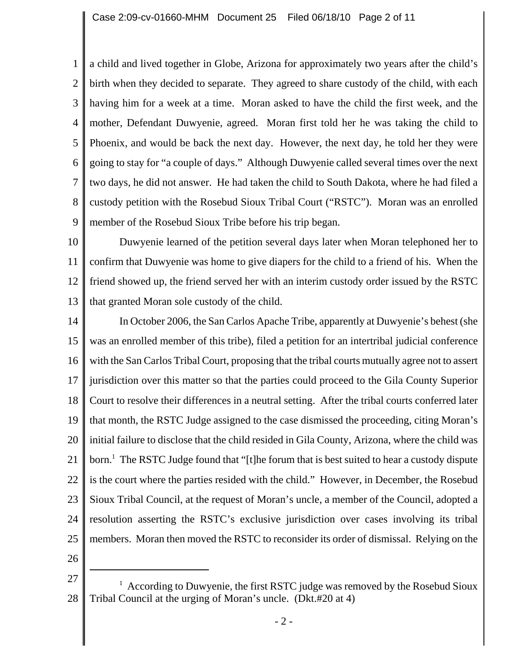1 2 3 4 5 6 7 8 9 a child and lived together in Globe, Arizona for approximately two years after the child's birth when they decided to separate. They agreed to share custody of the child, with each having him for a week at a time. Moran asked to have the child the first week, and the mother, Defendant Duwyenie, agreed. Moran first told her he was taking the child to Phoenix, and would be back the next day. However, the next day, he told her they were going to stay for "a couple of days." Although Duwyenie called several times over the next two days, he did not answer. He had taken the child to South Dakota, where he had filed a custody petition with the Rosebud Sioux Tribal Court ("RSTC"). Moran was an enrolled member of the Rosebud Sioux Tribe before his trip began.

10 11 12 13 Duwyenie learned of the petition several days later when Moran telephoned her to confirm that Duwyenie was home to give diapers for the child to a friend of his. When the friend showed up, the friend served her with an interim custody order issued by the RSTC that granted Moran sole custody of the child.

14 15 16 17 18 19 20 21 22 23 24 25 In October 2006, the San Carlos Apache Tribe, apparently at Duwyenie's behest (she was an enrolled member of this tribe), filed a petition for an intertribal judicial conference with the San Carlos Tribal Court, proposing that the tribal courts mutually agree not to assert jurisdiction over this matter so that the parties could proceed to the Gila County Superior Court to resolve their differences in a neutral setting. After the tribal courts conferred later that month, the RSTC Judge assigned to the case dismissed the proceeding, citing Moran's initial failure to disclose that the child resided in Gila County, Arizona, where the child was born.<sup>1</sup> The RSTC Judge found that "[t]he forum that is best suited to hear a custody dispute is the court where the parties resided with the child." However, in December, the Rosebud Sioux Tribal Council, at the request of Moran's uncle, a member of the Council, adopted a resolution asserting the RSTC's exclusive jurisdiction over cases involving its tribal members. Moran then moved the RSTC to reconsider its order of dismissal. Relying on the

26

<sup>27</sup> 28 <sup>1</sup> According to Duwyenie, the first RSTC judge was removed by the Rosebud Sioux Tribal Council at the urging of Moran's uncle. (Dkt.#20 at 4)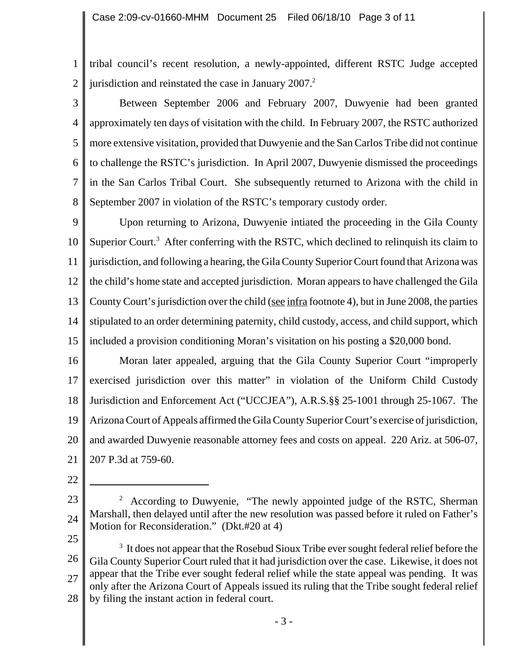1 2 tribal council's recent resolution, a newly-appointed, different RSTC Judge accepted jurisdiction and reinstated the case in January  $2007<sup>2</sup>$ .

3 4 5 6 7 8 Between September 2006 and February 2007, Duwyenie had been granted approximately ten days of visitation with the child. In February 2007, the RSTC authorized more extensive visitation, provided that Duwyenie and the San Carlos Tribe did not continue to challenge the RSTC's jurisdiction. In April 2007, Duwyenie dismissed the proceedings in the San Carlos Tribal Court. She subsequently returned to Arizona with the child in September 2007 in violation of the RSTC's temporary custody order.

9 10 11 12 13 14 15 Upon returning to Arizona, Duwyenie intiated the proceeding in the Gila County Superior Court.<sup>3</sup> After conferring with the RSTC, which declined to relinquish its claim to jurisdiction, and following a hearing, the Gila County Superior Court found that Arizona was the child's home state and accepted jurisdiction. Moran appears to have challenged the Gila County Court's jurisdiction over the child (see infra footnote 4), but in June 2008, the parties stipulated to an order determining paternity, child custody, access, and child support, which included a provision conditioning Moran's visitation on his posting a \$20,000 bond.

16 17 18 19 20 21 Moran later appealed, arguing that the Gila County Superior Court "improperly exercised jurisdiction over this matter" in violation of the Uniform Child Custody Jurisdiction and Enforcement Act ("UCCJEA"), A.R.S.§§ 25-1001 through 25-1067. The Arizona Court of Appeals affirmed the Gila County Superior Court's exercise of jurisdiction, and awarded Duwyenie reasonable attorney fees and costs on appeal. 220 Ariz. at 506-07, 207 P.3d at 759-60.

- 22
- 23 24  $2$  According to Duwyenie, "The newly appointed judge of the RSTC, Sherman Marshall, then delayed until after the new resolution was passed before it ruled on Father's Motion for Reconsideration." (Dkt.#20 at 4)
- 25

26 27 28  $3<sup>3</sup>$  It does not appear that the Rosebud Sioux Tribe ever sought federal relief before the Gila County Superior Court ruled that it had jurisdiction over the case. Likewise, it does not appear that the Tribe ever sought federal relief while the state appeal was pending. It was only after the Arizona Court of Appeals issued its ruling that the Tribe sought federal relief by filing the instant action in federal court.

- 3 -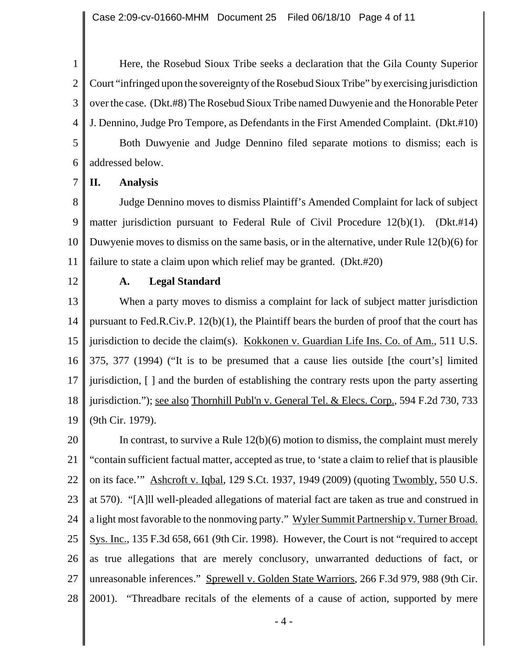1 2 3 4 5 6 Here, the Rosebud Sioux Tribe seeks a declaration that the Gila County Superior Court "infringed upon the sovereignty of the Rosebud Sioux Tribe" by exercising jurisdiction over the case. (Dkt.#8) The Rosebud Sioux Tribe named Duwyenie and the Honorable Peter J. Dennino, Judge Pro Tempore, as Defendants in the First Amended Complaint. (Dkt.#10) Both Duwyenie and Judge Dennino filed separate motions to dismiss; each is addressed below.

7 **II. Analysis**

8 9 10 11 Judge Dennino moves to dismiss Plaintiff's Amended Complaint for lack of subject matter jurisdiction pursuant to Federal Rule of Civil Procedure 12(b)(1). (Dkt.#14) Duwyenie moves to dismiss on the same basis, or in the alternative, under Rule 12(b)(6) for failure to state a claim upon which relief may be granted. (Dkt.#20)

12

## **A. Legal Standard**

13 14 15 16 17 18 19 When a party moves to dismiss a complaint for lack of subject matter jurisdiction pursuant to Fed.R.Civ.P. 12(b)(1), the Plaintiff bears the burden of proof that the court has jurisdiction to decide the claim(s). Kokkonen v. Guardian Life Ins. Co. of Am., 511 U.S. 375, 377 (1994) ("It is to be presumed that a cause lies outside [the court's] limited jurisdiction, [ ] and the burden of establishing the contrary rests upon the party asserting jurisdiction."); <u>see also Thornhill Publ'n v. General Tel. & Elecs. Corp.</u>, 594 F.2d 730, 733 (9th Cir. 1979).

20 21 22 23 24 25 26 27 28 In contrast, to survive a Rule  $12(b)(6)$  motion to dismiss, the complaint must merely "contain sufficient factual matter, accepted as true, to 'state a claim to relief that is plausible on its face.'" Ashcroft v. Iqbal, 129 S.Ct. 1937, 1949 (2009) (quoting Twombly, 550 U.S. at 570). "[A]ll well-pleaded allegations of material fact are taken as true and construed in a light most favorable to the nonmoving party." Wyler Summit Partnership v. Turner Broad. Sys. Inc., 135 F.3d 658, 661 (9th Cir. 1998). However, the Court is not "required to accept as true allegations that are merely conclusory, unwarranted deductions of fact, or unreasonable inferences." Sprewell v. Golden State Warriors, 266 F.3d 979, 988 (9th Cir. 2001). "Threadbare recitals of the elements of a cause of action, supported by mere

- 4 -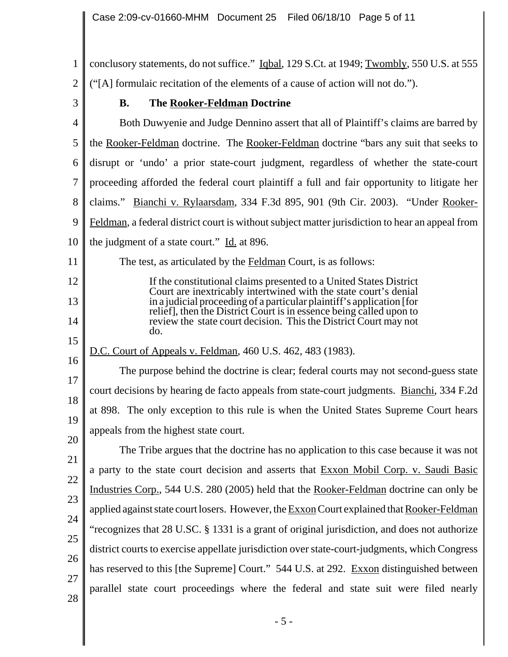1 2 3 4 5 6 7 8 9 10 11 12 13 14 15 16 17 18 19 20 21 22 23 24 25 26 27 28 conclusory statements, do not suffice." Iqbal, 129 S.Ct. at 1949; Twombly, 550 U.S. at 555 ("[A] formulaic recitation of the elements of a cause of action will not do."). **B. The Rooker-Feldman Doctrine** Both Duwyenie and Judge Dennino assert that all of Plaintiff's claims are barred by the Rooker-Feldman doctrine.The Rooker-Feldman doctrine "bars any suit that seeks to disrupt or 'undo' a prior state-court judgment, regardless of whether the state-court proceeding afforded the federal court plaintiff a full and fair opportunity to litigate her claims." Bianchi v. Rylaarsdam, 334 F.3d 895, 901 (9th Cir. 2003). "Under Rooker-Feldman, a federal district court is without subject matter jurisdiction to hear an appeal from the judgment of a state court." Id. at 896. The test, as articulated by the **Feldman Court**, is as follows: If the constitutional claims presented to a United States District Court are inextricably intertwined with the state court's denial in a judicial proceeding of a particular plaintiff's application [for relief], then the District Court is in essence being called upon to review the state court decision. This the District Court may not do. D.C. Court of Appeals v. Feldman, 460 U.S. 462, 483 (1983). The purpose behind the doctrine is clear; federal courts may not second-guess state court decisions by hearing de facto appeals from state-court judgments. Bianchi, 334 F.2d at 898. The only exception to this rule is when the United States Supreme Court hears appeals from the highest state court. The Tribe argues that the doctrine has no application to this case because it was not a party to the state court decision and asserts that Exxon Mobil Corp. v. Saudi Basic Industries Corp., 544 U.S. 280 (2005) held that the Rooker-Feldman doctrine can only be applied against state court losers. However, the **Exxon** Court explained that Rooker-Feldman "recognizes that 28 U.SC. § 1331 is a grant of original jurisdiction, and does not authorize district courts to exercise appellate jurisdiction over state-court-judgments, which Congress has reserved to this [the Supreme] Court." 544 U.S. at 292. Exxon distinguished between parallel state court proceedings where the federal and state suit were filed nearly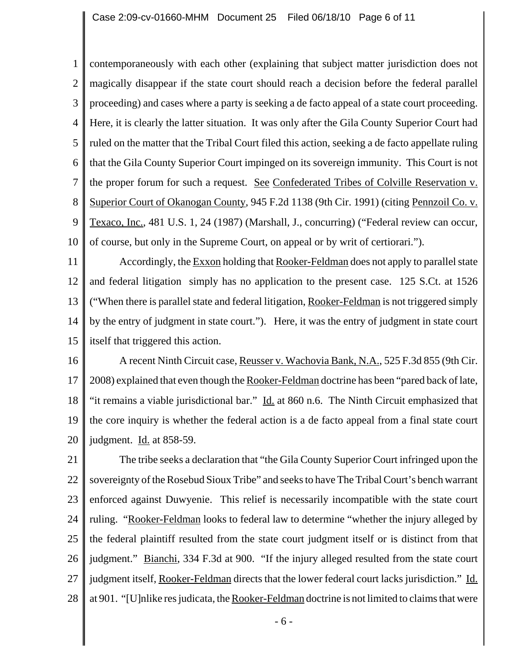1 2 3 4 5 6 7 8 9 10 contemporaneously with each other (explaining that subject matter jurisdiction does not magically disappear if the state court should reach a decision before the federal parallel proceeding) and cases where a party is seeking a de facto appeal of a state court proceeding. Here, it is clearly the latter situation. It was only after the Gila County Superior Court had ruled on the matter that the Tribal Court filed this action, seeking a de facto appellate ruling that the Gila County Superior Court impinged on its sovereign immunity. This Court is not the proper forum for such a request. See Confederated Tribes of Colville Reservation v. Superior Court of Okanogan County, 945 F.2d 1138 (9th Cir. 1991) (citing Pennzoil Co. v. Texaco, Inc., 481 U.S. 1, 24 (1987) (Marshall, J., concurring) ("Federal review can occur, of course, but only in the Supreme Court, on appeal or by writ of certiorari.").

11 12 13 14 15 Accordingly, the Exxon holding that Rooker-Feldman does not apply to parallel state and federal litigation simply has no application to the present case. 125 S.Ct. at 1526 ("When there is parallel state and federal litigation, Rooker-Feldman is not triggered simply by the entry of judgment in state court."). Here, it was the entry of judgment in state court itself that triggered this action.

16 17 18 19 20 A recent Ninth Circuit case, Reusser v. Wachovia Bank, N.A., 525 F.3d 855 (9th Cir. 2008) explained that even though the Rooker-Feldman doctrine has been "pared back of late, "it remains a viable jurisdictional bar." Id. at 860 n.6. The Ninth Circuit emphasized that the core inquiry is whether the federal action is a de facto appeal from a final state court judgment.  $\underline{Id}$  at 858-59.

21 22 23 24 25 26 27 28 The tribe seeks a declaration that "the Gila County Superior Court infringed upon the sovereignty of the Rosebud Sioux Tribe" and seeks to have The Tribal Court's bench warrant enforced against Duwyenie. This relief is necessarily incompatible with the state court ruling. "Rooker-Feldman looks to federal law to determine "whether the injury alleged by the federal plaintiff resulted from the state court judgment itself or is distinct from that judgment." Bianchi, 334 F.3d at 900. "If the injury alleged resulted from the state court judgment itself, Rooker-Feldman directs that the lower federal court lacks jurisdiction." Id. at 901. "[U]nlike res judicata, the Rooker-Feldman doctrine is not limited to claims that were

- 6 -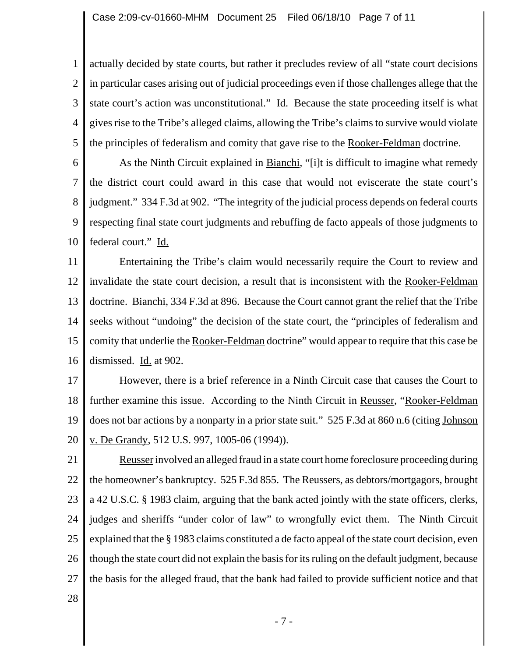1 2 3 4 5 actually decided by state courts, but rather it precludes review of all "state court decisions in particular cases arising out of judicial proceedings even if those challenges allege that the state court's action was unconstitutional." Id. Because the state proceeding itself is what gives rise to the Tribe's alleged claims, allowing the Tribe's claims to survive would violate the principles of federalism and comity that gave rise to the Rooker-Feldman doctrine.

6 7 8 9 10 As the Ninth Circuit explained in Bianchi*,* "[i]t is difficult to imagine what remedy the district court could award in this case that would not eviscerate the state court's judgment." 334 F.3d at 902. "The integrity of the judicial process depends on federal courts respecting final state court judgments and rebuffing de facto appeals of those judgments to federal court." Id.

11 12 13 14 15 16 Entertaining the Tribe's claim would necessarily require the Court to review and invalidate the state court decision, a result that is inconsistent with the Rooker-Feldman doctrine. Bianchi, 334 F.3d at 896. Because the Court cannot grant the relief that the Tribe seeks without "undoing" the decision of the state court, the "principles of federalism and comity that underlie the Rooker-Feldman doctrine" would appear to require that this case be dismissed. Id. at 902.

17 18 19 20 However, there is a brief reference in a Ninth Circuit case that causes the Court to further examine this issue. According to the Ninth Circuit in Reusser, "Rooker-Feldman does not bar actions by a nonparty in a prior state suit." 525 F.3d at 860 n.6 (citing Johnson v. De Grandy, 512 U.S. 997, 1005-06 (1994)).

21 22 23 24 25 26 27 Reusser involved an alleged fraud in a state court home foreclosure proceeding during the homeowner's bankruptcy. 525 F.3d 855. The Reussers, as debtors/mortgagors, brought a 42 U.S.C. § 1983 claim, arguing that the bank acted jointly with the state officers, clerks, judges and sheriffs "under color of law" to wrongfully evict them. The Ninth Circuit explained that the § 1983 claims constituted a de facto appeal of the state court decision, even though the state court did not explain the basis for its ruling on the default judgment, because the basis for the alleged fraud, that the bank had failed to provide sufficient notice and that

28

- 7 -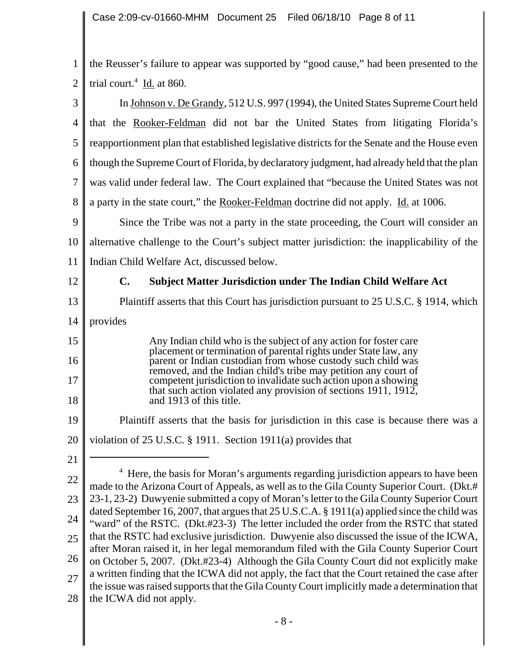1 2 the Reusser's failure to appear was supported by "good cause," had been presented to the trial court. $4 \underline{Id}$  at 860.

3 4 5 6 7 8 In Johnson v. De Grandy, 512 U.S. 997 (1994), the United States Supreme Court held that the Rooker-Feldman did not bar the United States from litigating Florida's reapportionment plan that established legislative districts for the Senate and the House even though the Supreme Court of Florida, by declaratory judgment, had already held that the plan was valid under federal law. The Court explained that "because the United States was not a party in the state court," the Rooker-Feldman doctrine did not apply. Id. at 1006.

9 10 11 Since the Tribe was not a party in the state proceeding, the Court will consider an alternative challenge to the Court's subject matter jurisdiction: the inapplicability of the Indian Child Welfare Act, discussed below.

12

13

15

16

17

18

## **C. Subject Matter Jurisdiction under The Indian Child Welfare Act**

- Plaintiff asserts that this Court has jurisdiction pursuant to 25 U.S.C. § 1914, which
- 14 provides

Any Indian child who is the subject of any action for foster care placement or termination of parental rights under State law, any parent or Indian custodian from whose custody such child was removed, and the Indian child's tribe may petition any court of competent jurisdiction to invalidate such action upon a showing that such action violated any provision of sections 1911, 1912, and 1913 of this title.

- 19 Plaintiff asserts that the basis for jurisdiction in this case is because there was a
- 20 violation of 25 U.S.C. § 1911. Section 1911(a) provides that
- 21

22 23 24 25 26 27 28 <sup>4</sup> Here, the basis for Moran's arguments regarding jurisdiction appears to have been made to the Arizona Court of Appeals, as well as to the Gila County Superior Court. (Dkt.# 23-1, 23-2) Duwyenie submitted a copy of Moran's letter to the Gila County Superior Court dated September 16, 2007, that argues that 25 U.S.C.A. § 1911(a) applied since the child was "ward" of the RSTC. (Dkt.#23-3) The letter included the order from the RSTC that stated that the RSTC had exclusive jurisdiction. Duwyenie also discussed the issue of the ICWA, after Moran raised it, in her legal memorandum filed with the Gila County Superior Court on October 5, 2007. (Dkt.#23-4) Although the Gila County Court did not explicitly make a written finding that the ICWA did not apply, the fact that the Court retained the case after the issue was raised supports that the Gila County Court implicitly made a determination that the ICWA did not apply.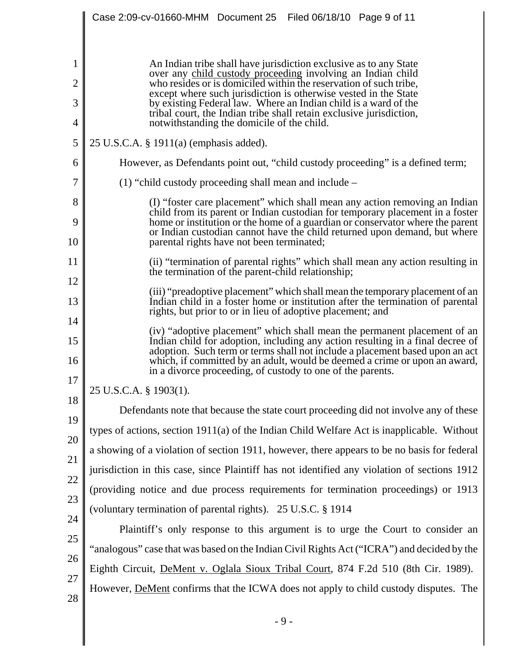|          | Case 2:09-cv-01660-MHM Document 25 Filed 06/18/10 Page 9 of 11                                                                                                                                                                                                                                                                                                                         |  |  |
|----------|----------------------------------------------------------------------------------------------------------------------------------------------------------------------------------------------------------------------------------------------------------------------------------------------------------------------------------------------------------------------------------------|--|--|
|          |                                                                                                                                                                                                                                                                                                                                                                                        |  |  |
| 1        | An Indian tribe shall have jurisdiction exclusive as to any State<br>over any child custody proceeding involving an Indian child<br>who resides or is domiciled within the reservation of such tribe,<br>except where such jurisdiction is otherwise vested in the State<br>by existing Federal law. Where an Indian child is a ward of the                                            |  |  |
| 2        |                                                                                                                                                                                                                                                                                                                                                                                        |  |  |
| 3        |                                                                                                                                                                                                                                                                                                                                                                                        |  |  |
| 4        | tribal court, the Indian tribe shall retain exclusive jurisdiction,<br>notwithstanding the domicile of the child.                                                                                                                                                                                                                                                                      |  |  |
| 5        | 25 U.S.C.A. § 1911(a) (emphasis added).                                                                                                                                                                                                                                                                                                                                                |  |  |
| 6        | However, as Defendants point out, "child custody proceeding" is a defined term;                                                                                                                                                                                                                                                                                                        |  |  |
| 7        | (1) "child custody proceeding shall mean and include $-$                                                                                                                                                                                                                                                                                                                               |  |  |
| 8        | (I) "foster care placement" which shall mean any action removing an Indian<br>child from its parent or Indian custodian for temporary placement in a foster<br>home or institution or the home of a guardian or conservator where the parent<br>or Indian custodian cannot have the child returned upon demand, but where                                                              |  |  |
| 9        |                                                                                                                                                                                                                                                                                                                                                                                        |  |  |
| 10       | parental rights have not been terminated;                                                                                                                                                                                                                                                                                                                                              |  |  |
| 11       | (ii) "termination of parental rights" which shall mean any action resulting in<br>the termination of the parent-child relationship;                                                                                                                                                                                                                                                    |  |  |
| 12       | (iii) "preadoptive placement" which shall mean the temporary placement of an                                                                                                                                                                                                                                                                                                           |  |  |
| 13       | Indian child in a foster home or institution after the termination of parental<br>rights, but prior to or in lieu of adoptive placement; and                                                                                                                                                                                                                                           |  |  |
| 14<br>15 | (iv) "adoptive placement" which shall mean the permanent placement of an<br>Indian child for adoption, including any action resulting in a final decree of<br>adoption. Such term or terms shall not include a placement based upon an act<br>which, if committed by an adult, would be deemed a crime or upon an award,<br>in a divorce proceeding, of custody to one of the parents. |  |  |
| 16       |                                                                                                                                                                                                                                                                                                                                                                                        |  |  |
| 17       | 25 U.S.C.A. § 1903(1).                                                                                                                                                                                                                                                                                                                                                                 |  |  |
| 18       | Defendants note that because the state court proceeding did not involve any of these                                                                                                                                                                                                                                                                                                   |  |  |
| 19       | types of actions, section 1911(a) of the Indian Child Welfare Act is inapplicable. Without                                                                                                                                                                                                                                                                                             |  |  |
| 20       | a showing of a violation of section 1911, however, there appears to be no basis for federal                                                                                                                                                                                                                                                                                            |  |  |
| 21<br>22 | jurisdiction in this case, since Plaintiff has not identified any violation of sections 1912                                                                                                                                                                                                                                                                                           |  |  |
| 23       | (providing notice and due process requirements for termination proceedings) or 1913                                                                                                                                                                                                                                                                                                    |  |  |
| 24       | (voluntary termination of parental rights). 25 U.S.C. § 1914                                                                                                                                                                                                                                                                                                                           |  |  |
| 25       | Plaintiff's only response to this argument is to urge the Court to consider an                                                                                                                                                                                                                                                                                                         |  |  |
| 26       | "analogous" case that was based on the Indian Civil Rights Act ("ICRA") and decided by the                                                                                                                                                                                                                                                                                             |  |  |
| 27       | Eighth Circuit, DeMent v. Oglala Sioux Tribal Court, 874 F.2d 510 (8th Cir. 1989).                                                                                                                                                                                                                                                                                                     |  |  |
| 28       | However, <b>DeMent</b> confirms that the ICWA does not apply to child custody disputes. The                                                                                                                                                                                                                                                                                            |  |  |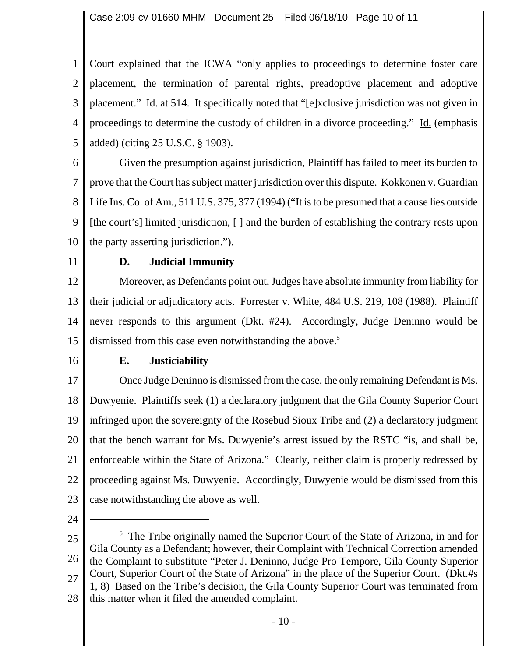1 2 3 4 5 Court explained that the ICWA "only applies to proceedings to determine foster care placement, the termination of parental rights, preadoptive placement and adoptive placement." Id. at 514. It specifically noted that "[e]xclusive jurisdiction was not given in proceedings to determine the custody of children in a divorce proceeding." Id. (emphasis added) (citing 25 U.S.C. § 1903).

6 7 8 9 10 Given the presumption against jurisdiction, Plaintiff has failed to meet its burden to prove that the Court has subject matter jurisdiction over this dispute. Kokkonen v. Guardian Life Ins. Co. of Am., 511 U.S. 375, 377 (1994) ("It is to be presumed that a cause lies outside [the court's] limited jurisdiction, [] and the burden of establishing the contrary rests upon the party asserting jurisdiction.").

11

## **D. Judicial Immunity**

12 13 14 15 Moreover, as Defendants point out, Judges have absolute immunity from liability for their judicial or adjudicatory acts. Forrester v. White, 484 U.S. 219, 108 (1988). Plaintiff never responds to this argument (Dkt. #24). Accordingly, Judge Deninno would be dismissed from this case even notwithstanding the above.<sup>5</sup>

16

## **E. Justiciability**

17 18 19 20 21 22 23 Once Judge Deninno is dismissed from the case, the only remaining Defendant is Ms. Duwyenie. Plaintiffs seek (1) a declaratory judgment that the Gila County Superior Court infringed upon the sovereignty of the Rosebud Sioux Tribe and (2) a declaratory judgment that the bench warrant for Ms. Duwyenie's arrest issued by the RSTC "is, and shall be, enforceable within the State of Arizona." Clearly, neither claim is properly redressed by proceeding against Ms. Duwyenie. Accordingly, Duwyenie would be dismissed from this case notwithstanding the above as well.

24

25 26 27 28 <sup>5</sup> The Tribe originally named the Superior Court of the State of Arizona, in and for Gila County as a Defendant; however, their Complaint with Technical Correction amended the Complaint to substitute "Peter J. Deninno, Judge Pro Tempore, Gila County Superior Court, Superior Court of the State of Arizona" in the place of the Superior Court. (Dkt.#s 1, 8) Based on the Tribe's decision, the Gila County Superior Court was terminated from this matter when it filed the amended complaint.